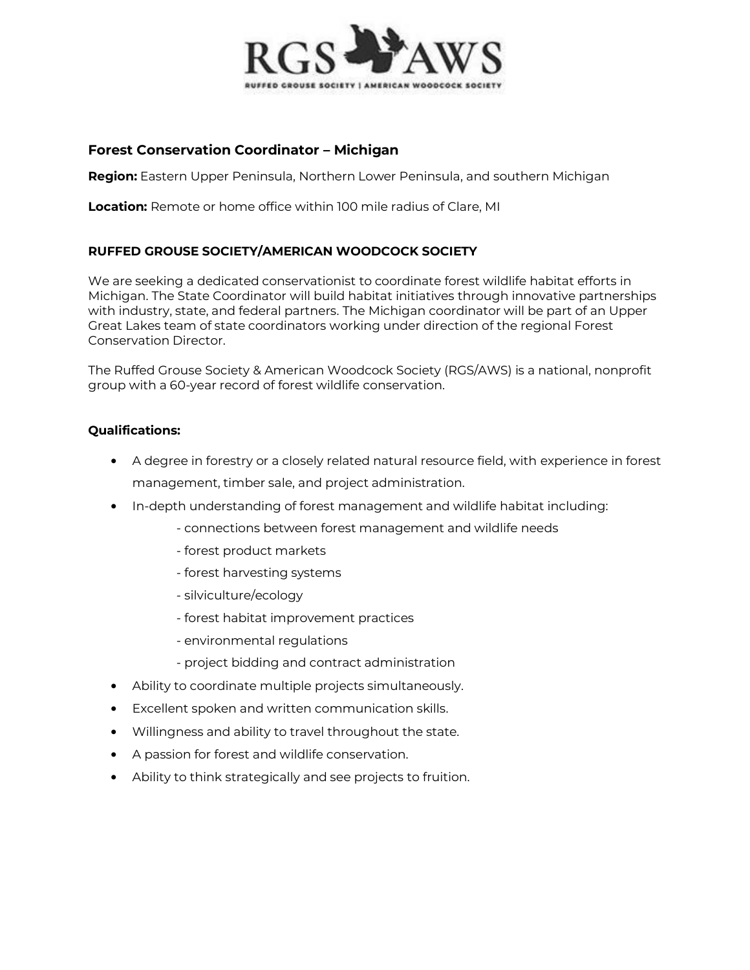

# **Forest Conservation Coordinator - Michigan**

**Region:** Eastern Upper Peninsula, Northern Lower Peninsula, and southern Michigan

**Location:** Remote or home office within 100 mile radius of Clare, MI

### **RUFFED GROUSE SOCIETY/AMERICAN WOODCOCK SOCIETY**

We are seeking a dedicated conservationist to coordinate forest wildlife habitat efforts in Michigan. The State Coordinator will build habitat initiatives through innovative partnerships with industry, state, and federal partners. The Michigan coordinator will be part of an Upper Great Lakes team of state coordinators working under direction of the regional Forest Conservation Director.

The Ruffed Grouse Society & American Woodcock Society (RGS/AWS) is a national, nonprofit group with a 60-year record of forest wildlife conservation.

### **Qualifications:**

- A degree in forestry or a closely related natural resource field, with experience in forest management, timber sale, and project administration.
- In-depth understanding of forest management and wildlife habitat including:
	- connections between forest management and wildlife needs
	- forest product markets
	- forest harvesting systems
	- silviculture/ecology
	- forest habitat improvement practices
	- environmental regulations
	- project bidding and contract administration
- Ability to coordinate multiple projects simultaneously.
- Excellent spoken and written communication skills.
- Willingness and ability to travel throughout the state.
- A passion for forest and wildlife conservation.
- Ability to think strategically and see projects to fruition.